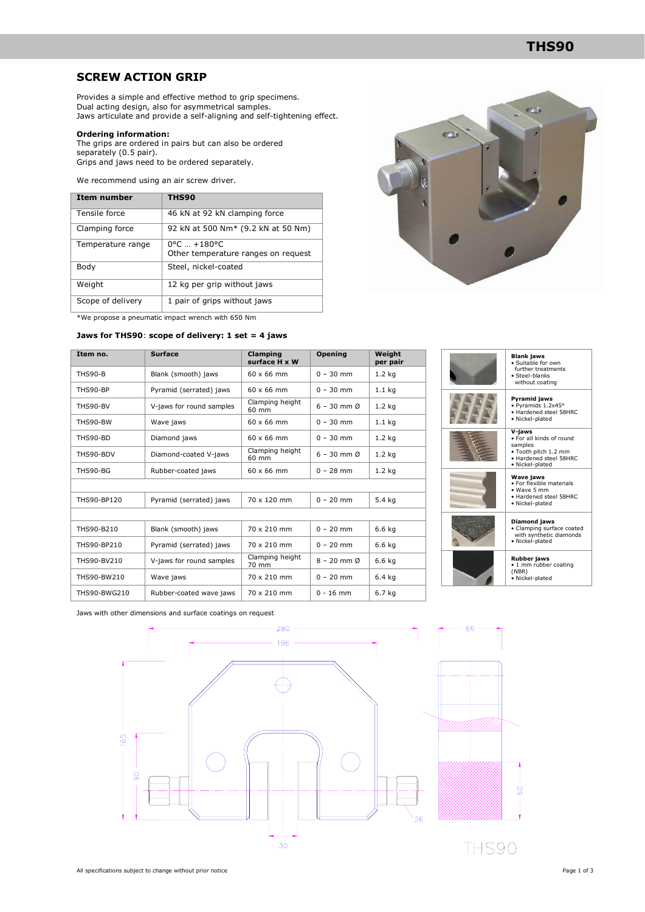### **THS90**

### **SCREW ACTION GRIP**

Provides a simple and effective method to grip specimens. Dual acting design, also for asymmetrical samples. Jaws articulate and provide a self-aligning and self-tightening effect.

#### **Ordering information:**

The grips are ordered in pairs but can also be ordered separately (0.5 pair). Grips and jaws need to be ordered separately.

We recommend using an air screw driver.

| Item number       | <b>THS90</b>                                                            |  |  |
|-------------------|-------------------------------------------------------------------------|--|--|
| Tensile force     | 46 kN at 92 kN clamping force                                           |  |  |
| Clamping force    | 92 kN at 500 Nm <sup>*</sup> (9.2 kN at 50 Nm)                          |  |  |
| Temperature range | $0^{\circ}$ C $ + 180^{\circ}$ C<br>Other temperature ranges on request |  |  |
| Body              | Steel, nickel-coated                                                    |  |  |
| Weight            | 12 kg per grip without jaws                                             |  |  |
| Scope of delivery | 1 pair of grips without jaws                                            |  |  |

\*We propose a pneumatic impact wrench with 650 Nm

#### **Jaws for THS90**: **scope of delivery: 1 set = 4 jaws**

| Item no.       | <b>Surface</b>           | Clamping<br>surface H x W | Opening                 | Weight<br>per pair |
|----------------|--------------------------|---------------------------|-------------------------|--------------------|
| <b>THS90-B</b> | Blank (smooth) jaws      | $60 \times 66$ mm         | $0 - 30$ mm             | 1.2 <sub>kg</sub>  |
| THS90-BP       | Pyramid (serrated) jaws  | $60 \times 66$ mm         | $0 - 30$ mm             | 1.1 <sub>kg</sub>  |
| THS90-BV       | V-jaws for round samples | Clamping height<br>60 mm  | $6 - 30$ mm $\emptyset$ | 1.2 <sub>kg</sub>  |
| THS90-BW       | Wave jaws                | $60 \times 66$ mm         | $0 - 30$ mm             | 1.1 <sub>kg</sub>  |
| THS90-BD       | Diamond jaws             | $60 \times 66$ mm         | $0 - 30$ mm             | 1.2 <sub>kg</sub>  |
| THS90-BDV      | Diamond-coated V-jaws    | Clamping height<br>60 mm  | $6 - 30$ mm $Ø$         | 1.2 <sub>kg</sub>  |
| THS90-BG       | Rubber-coated jaws       | $60 \times 66$ mm         | $0 - 28$ mm             | $1.2$ kg           |
|                |                          |                           |                         |                    |
| THS90-BP120    | Pyramid (serrated) jaws  | 70 x 120 mm               | $0 - 20$ mm             | 5.4 kg             |
|                |                          |                           |                         |                    |
| THS90-B210     | Blank (smooth) jaws      | 70 x 210 mm               | $0 - 20$ mm             | 6.6 kg             |
| THS90-BP210    | Pyramid (serrated) jaws  | 70 x 210 mm               | $0 - 20$ mm             | 6.6 kg             |
| THS90-BV210    | V-jaws for round samples | Clamping height<br>70 mm  | $8 - 20$ mm $\emptyset$ | 6.6 kg             |
| THS90-BW210    | Wave jaws                | 70 x 210 mm               | $0 - 20$ mm             | 6.4 kg             |
| THS90-BWG210   | Rubber-coated wave jaws  | 70 x 210 mm               | $0 - 16$ mm             | 6.7 kg             |



| <b>Blank jaws</b><br>· Suitable for own<br>further treatments<br>· Steel-blanks<br>without coating                 |
|--------------------------------------------------------------------------------------------------------------------|
| Pyramid jaws<br>· Pyramids 1.2x45°<br>· Hardened steel 58HRC<br>· Nickel-plated                                    |
| V-jaws<br>. For all kinds of round<br>samples<br>· Tooth pitch 1.2 mm<br>· Hardened steel 58HRC<br>· Nickel-plated |
| <b>Wave jaws</b><br>· For flexible materials<br>· Wave 5 mm<br>• Hardened steel 58HRC<br>· Nickel-plated           |
| Diamond jaws<br>· Clamping surface coated<br>with synthetic diamonds<br>· Nickel-plated                            |
| <b>Rubber jaws</b><br>· 1 mm rubber coating<br>(NBR)<br>· Nickel-plated                                            |

Jaws with other dimensions and surface coatings on request

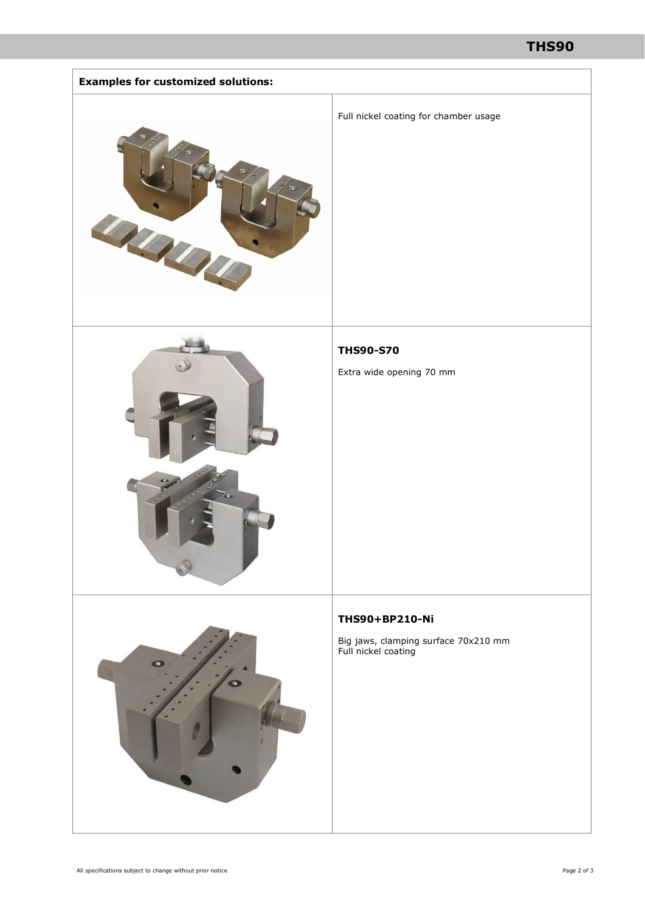## **THS90**